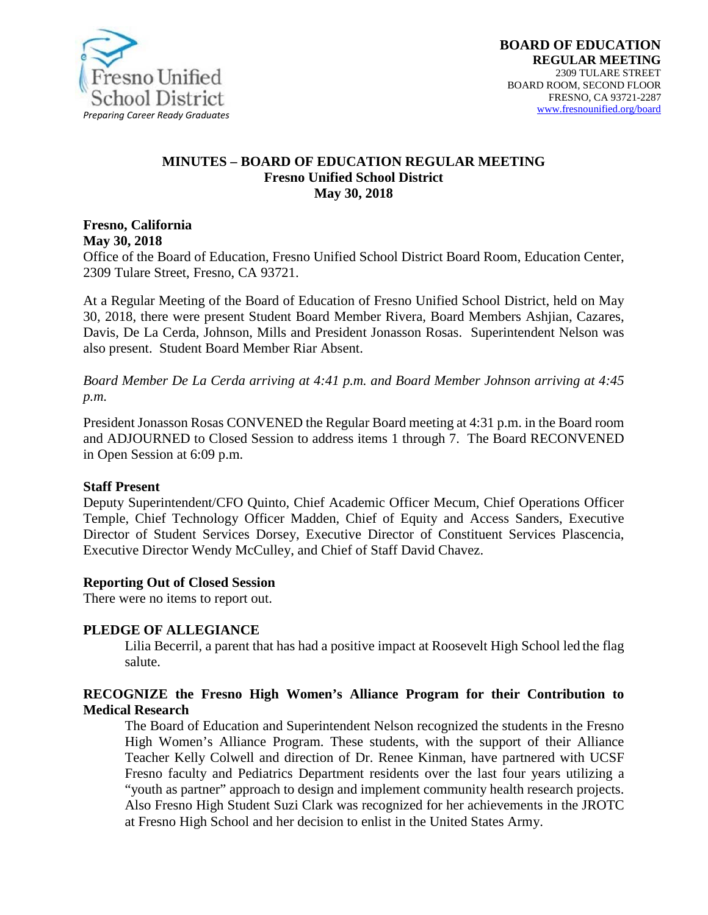

#### **MINUTES – BOARD OF EDUCATION REGULAR MEETING Fresno Unified School District May 30, 2018**

**Fresno, California May 30, 2018** 

Office of the Board of Education, Fresno Unified School District Board Room, Education Center, 2309 Tulare Street, Fresno, CA 93721.

At a Regular Meeting of the Board of Education of Fresno Unified School District, held on May 30, 2018, there were present Student Board Member Rivera, Board Members Ashjian, Cazares, Davis, De La Cerda, Johnson, Mills and President Jonasson Rosas. Superintendent Nelson was also present. Student Board Member Riar Absent.

*Board Member De La Cerda arriving at 4:41 p.m. and Board Member Johnson arriving at 4:45 p.m.*

President Jonasson Rosas CONVENED the Regular Board meeting at 4:31 p.m. in the Board room and ADJOURNED to Closed Session to address items 1 through 7. The Board RECONVENED in Open Session at 6:09 p.m.

#### **Staff Present**

Deputy Superintendent/CFO Quinto, Chief Academic Officer Mecum, Chief Operations Officer Temple, Chief Technology Officer Madden, Chief of Equity and Access Sanders, Executive Director of Student Services Dorsey, Executive Director of Constituent Services Plascencia, Executive Director Wendy McCulley, and Chief of Staff David Chavez.

#### **Reporting Out of Closed Session**

There were no items to report out.

#### **PLEDGE OF ALLEGIANCE**

Lilia Becerril, a parent that has had a positive impact at Roosevelt High School led the flag salute.

#### **RECOGNIZE the Fresno High Women's Alliance Program for their Contribution to Medical Research**

The Board of Education and Superintendent Nelson recognized the students in the Fresno High Women's Alliance Program. These students, with the support of their Alliance Teacher Kelly Colwell and direction of Dr. Renee Kinman, have partnered with UCSF Fresno faculty and Pediatrics Department residents over the last four years utilizing a "youth as partner" approach to design and implement community health research projects. Also Fresno High Student Suzi Clark was recognized for her achievements in the JROTC at Fresno High School and her decision to enlist in the United States Army.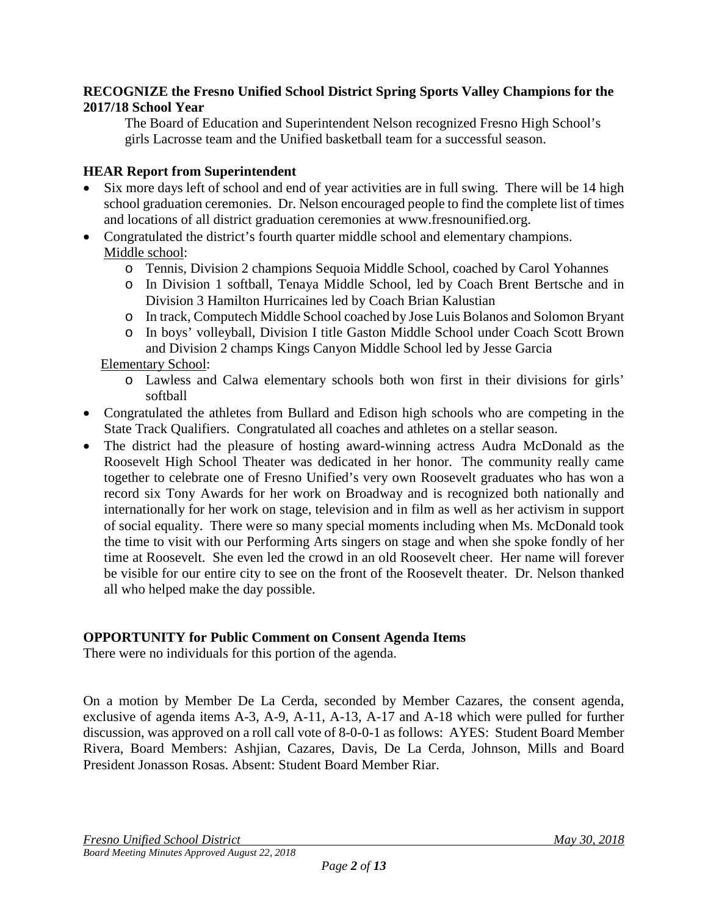### **RECOGNIZE the Fresno Unified School District Spring Sports Valley Champions for the 2017/18 School Year**

The Board of Education and Superintendent Nelson recognized Fresno High School's girls Lacrosse team and the Unified basketball team for a successful season.

# **HEAR Report from Superintendent**

- Six more days left of school and end of year activities are in full swing. There will be 14 high school graduation ceremonies. Dr. Nelson encouraged people to find the complete list of times and locations of all district graduation ceremonies at [www.fresnounified.org.](https://na01.safelinks.protection.outlook.com/?url=http%3A%2F%2Fwww.fresnounified.org&data=02%7C01%7C%7Ce3cfcda5432245d0ac5308d5c71a1da9%7C74c9008303c6453a801c9251cdd17eb8%7C0%7C0%7C636633837346018578&sdata=LOYZfIlfUKbEPBkrkiuM%2B%2BlwV5kSO5y6hNrJK6ztKa4%3D&reserved=0)
- Congratulated the district's fourth quarter middle school and elementary champions. Middle school:
	- o Tennis, Division 2 champions Sequoia Middle School, coached by Carol Yohannes
	- o In Division 1 softball, Tenaya Middle School, led by Coach Brent Bertsche and in Division 3 Hamilton Hurricaines led by Coach Brian Kalustian
	- o In track, Computech Middle School coached by Jose Luis Bolanos and Solomon Bryant
	- o In boys' volleyball, Division I title Gaston Middle School under Coach Scott Brown and Division 2 champs Kings Canyon Middle School led by Jesse Garcia

Elementary School:

- o Lawless and Calwa elementary schools both won first in their divisions for girls' softball
- Congratulated the athletes from Bullard and Edison high schools who are competing in the State Track Qualifiers. Congratulated all coaches and athletes on a stellar season.
- The district had the pleasure of hosting award-winning actress Audra McDonald as the Roosevelt High School Theater was dedicated in her honor. The community really came together to celebrate one of Fresno Unified's very own Roosevelt graduates who has won a record six Tony Awards for her work on Broadway and is recognized both nationally and internationally for her work on stage, television and in film as well as her activism in support of social equality. There were so many special moments including when Ms. McDonald took the time to visit with our Performing Arts singers on stage and when she spoke fondly of her time at Roosevelt. She even led the crowd in an old Roosevelt cheer. Her name will forever be visible for our entire city to see on the front of the Roosevelt theater. Dr. Nelson thanked all who helped make the day possible.

## **OPPORTUNITY for Public Comment on Consent Agenda Items**

There were no individuals for this portion of the agenda.

On a motion by Member De La Cerda, seconded by Member Cazares, the consent agenda, exclusive of agenda items A-3, A-9, A-11, A-13, A-17 and A-18 which were pulled for further discussion, was approved on a roll call vote of 8-0-0-1 as follows: AYES: Student Board Member Rivera, Board Members: Ashjian, Cazares, Davis, De La Cerda, Johnson, Mills and Board President Jonasson Rosas. Absent: Student Board Member Riar.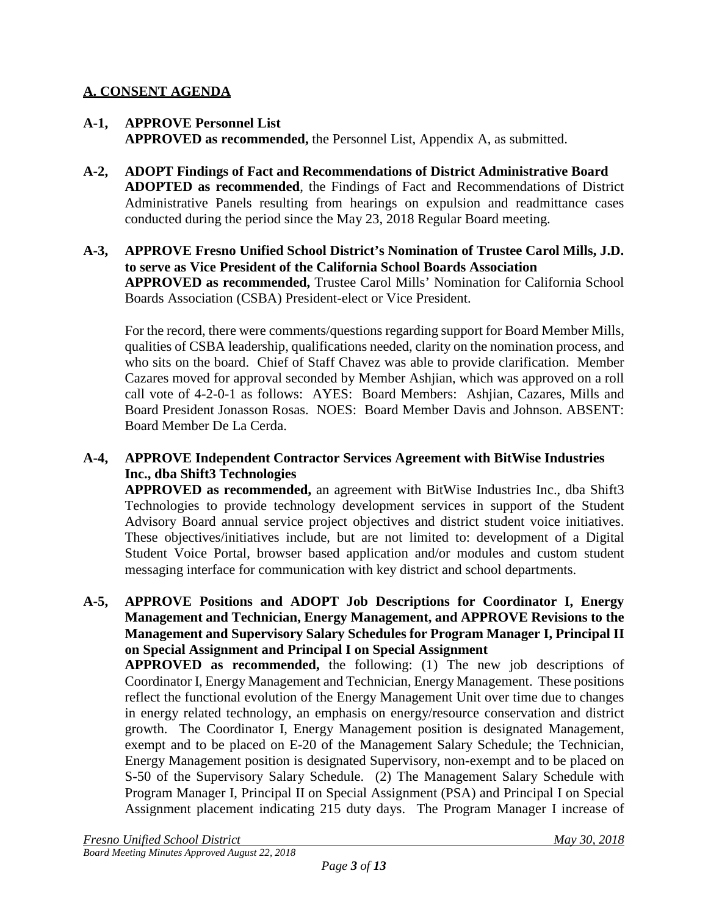## **A. CONSENT AGENDA**

- **A-1, APPROVE Personnel List APPROVED as recommended,** the Personnel List, Appendix A, as submitted.
- **A-2, ADOPT Findings of Fact and Recommendations of District Administrative Board ADOPTED as recommended**, the Findings of Fact and Recommendations of District Administrative Panels resulting from hearings on expulsion and readmittance cases conducted during the period since the May 23, 2018 Regular Board meeting.
- **A-3, APPROVE Fresno Unified School District's Nomination of Trustee Carol Mills, J.D. to serve as Vice President of the California School Boards Association APPROVED as recommended,** Trustee Carol Mills' Nomination for California School Boards Association (CSBA) President-elect or Vice President.

For the record, there were comments/questions regarding support for Board Member Mills, qualities of CSBA leadership, qualifications needed, clarity on the nomination process, and who sits on the board. Chief of Staff Chavez was able to provide clarification. Member Cazares moved for approval seconded by Member Ashjian, which was approved on a roll call vote of 4-2-0-1 as follows: AYES: Board Members: Ashjian, Cazares, Mills and Board President Jonasson Rosas. NOES: Board Member Davis and Johnson. ABSENT: Board Member De La Cerda.

## **A-4, APPROVE Independent Contractor Services Agreement with BitWise Industries Inc., dba Shift3 Technologies**

**APPROVED as recommended,** an agreement with BitWise Industries Inc., dba Shift3 Technologies to provide technology development services in support of the Student Advisory Board annual service project objectives and district student voice initiatives. These objectives/initiatives include, but are not limited to: development of a Digital Student Voice Portal, browser based application and/or modules and custom student messaging interface for communication with key district and school departments.

**A-5, APPROVE Positions and ADOPT Job Descriptions for Coordinator I, Energy Management and Technician, Energy Management, and APPROVE Revisions to the Management and Supervisory Salary Schedules for Program Manager I, Principal II on Special Assignment and Principal I on Special Assignment**

**APPROVED as recommended,** the following: (1) The new job descriptions of Coordinator I, Energy Management and Technician, Energy Management. These positions reflect the functional evolution of the Energy Management Unit over time due to changes in energy related technology, an emphasis on energy/resource conservation and district growth. The Coordinator I, Energy Management position is designated Management, exempt and to be placed on E-20 of the Management Salary Schedule; the Technician, Energy Management position is designated Supervisory, non-exempt and to be placed on S-50 of the Supervisory Salary Schedule. (2) The Management Salary Schedule with Program Manager I, Principal II on Special Assignment (PSA) and Principal I on Special Assignment placement indicating 215 duty days. The Program Manager I increase of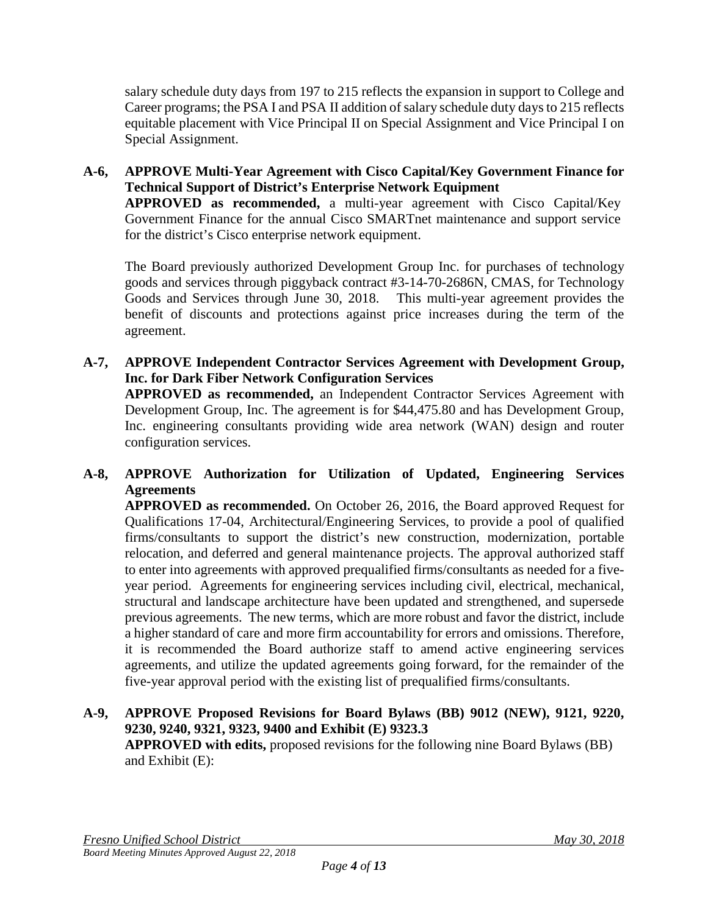salary schedule duty days from 197 to 215 reflects the expansion in support to College and Career programs; the PSA I and PSA II addition of salary schedule duty days to 215 reflects equitable placement with Vice Principal II on Special Assignment and Vice Principal I on Special Assignment.

# **A-6, APPROVE Multi-Year Agreement with Cisco Capital/Key Government Finance for Technical Support of District's Enterprise Network Equipment**

**APPROVED as recommended,** a multi-year agreement with Cisco Capital/Key Government Finance for the annual Cisco SMARTnet maintenance and support service for the district's Cisco enterprise network equipment.

The Board previously authorized Development Group Inc. for purchases of technology goods and services through piggyback contract #3-14-70-2686N, CMAS, for Technology Goods and Services through June 30, 2018. This multi-year agreement provides the benefit of discounts and protections against price increases during the term of the agreement.

**A-7, APPROVE Independent Contractor Services Agreement with Development Group, Inc. for Dark Fiber Network Configuration Services APPROVED as recommended,** an Independent Contractor Services Agreement with Development Group, Inc. The agreement is for \$44,475.80 and has Development Group, Inc. engineering consultants providing wide area network (WAN) design and router configuration services.

## **A-8, APPROVE Authorization for Utilization of Updated, Engineering Services Agreements**

**APPROVED as recommended.** On October 26, 2016, the Board approved Request for Qualifications 17-04, Architectural/Engineering Services, to provide a pool of qualified firms/consultants to support the district's new construction, modernization, portable relocation, and deferred and general maintenance projects. The approval authorized staff to enter into agreements with approved prequalified firms/consultants as needed for a fiveyear period. Agreements for engineering services including civil, electrical, mechanical, structural and landscape architecture have been updated and strengthened, and supersede previous agreements. The new terms, which are more robust and favor the district, include a higher standard of care and more firm accountability for errors and omissions. Therefore, it is recommended the Board authorize staff to amend active engineering services agreements, and utilize the updated agreements going forward, for the remainder of the five-year approval period with the existing list of prequalified firms/consultants.

## **A-9, APPROVE Proposed Revisions for Board Bylaws (BB) 9012 (NEW), 9121, 9220, 9230, 9240, 9321, 9323, 9400 and Exhibit (E) 9323.3 APPROVED with edits,** proposed revisions for the following nine Board Bylaws (BB) and Exhibit (E):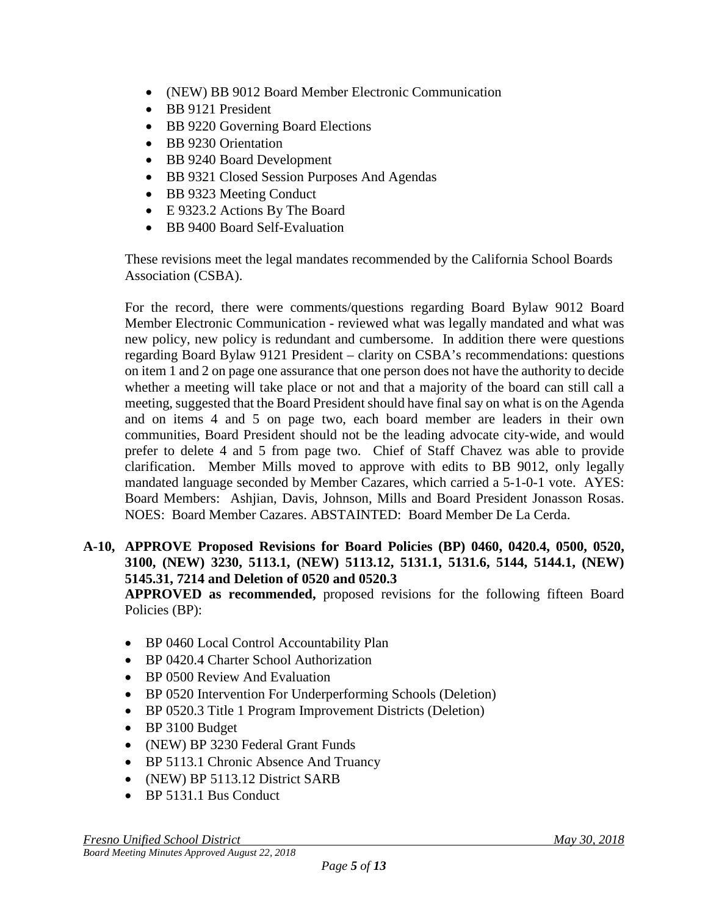- (NEW) BB 9012 Board Member Electronic Communication
- BB 9121 President
- BB 9220 Governing Board Elections
- BB 9230 Orientation
- BB 9240 Board Development
- BB 9321 Closed Session Purposes And Agendas
- BB 9323 Meeting Conduct
- E 9323.2 Actions By The Board
- BB 9400 Board Self-Evaluation

These revisions meet the legal mandates recommended by the California School Boards Association (CSBA).

For the record, there were comments/questions regarding Board Bylaw 9012 Board Member Electronic Communication - reviewed what was legally mandated and what was new policy, new policy is redundant and cumbersome. In addition there were questions regarding Board Bylaw 9121 President – clarity on CSBA's recommendations: questions on item 1 and 2 on page one assurance that one person does not have the authority to decide whether a meeting will take place or not and that a majority of the board can still call a meeting, suggested that the Board President should have final say on what is on the Agenda and on items 4 and 5 on page two, each board member are leaders in their own communities, Board President should not be the leading advocate city-wide, and would prefer to delete 4 and 5 from page two. Chief of Staff Chavez was able to provide clarification. Member Mills moved to approve with edits to BB 9012, only legally mandated language seconded by Member Cazares, which carried a 5-1-0-1 vote. AYES: Board Members: Ashjian, Davis, Johnson, Mills and Board President Jonasson Rosas. NOES: Board Member Cazares. ABSTAINTED: Board Member De La Cerda.

**A-10, APPROVE Proposed Revisions for Board Policies (BP) 0460, 0420.4, 0500, 0520, 3100, (NEW) 3230, 5113.1, (NEW) 5113.12, 5131.1, 5131.6, 5144, 5144.1, (NEW) 5145.31, 7214 and Deletion of 0520 and 0520.3** 

**APPROVED as recommended,** proposed revisions for the following fifteen Board Policies (BP):

- BP 0460 Local Control Accountability Plan
- BP 0420.4 Charter School Authorization
- BP 0500 Review And Evaluation
- BP 0520 Intervention For Underperforming Schools (Deletion)
- BP 0520.3 Title 1 Program Improvement Districts (Deletion)
- BP 3100 Budget
- (NEW) BP 3230 Federal Grant Funds
- BP 5113.1 Chronic Absence And Truancy
- (NEW) BP 5113.12 District SARB
- BP 5131.1 Bus Conduct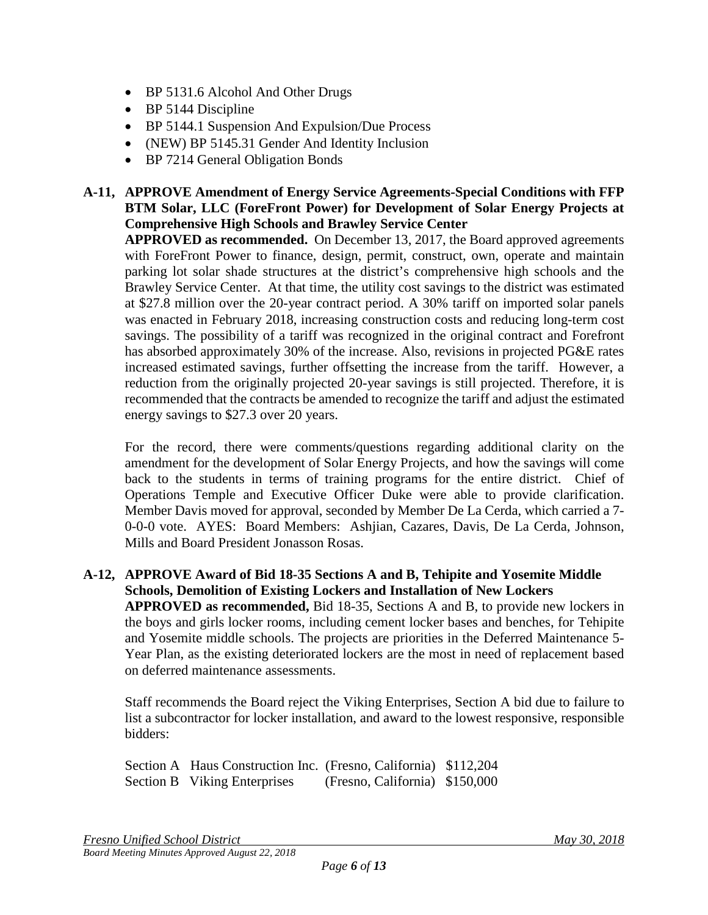- BP 5131.6 Alcohol And Other Drugs
- BP 5144 Discipline
- BP 5144.1 Suspension And Expulsion/Due Process
- (NEW) BP 5145.31 Gender And Identity Inclusion
- BP 7214 General Obligation Bonds

## **A-11, APPROVE Amendment of Energy Service Agreements-Special Conditions with FFP BTM Solar, LLC (ForeFront Power) for Development of Solar Energy Projects at Comprehensive High Schools and Brawley Service Center**

**APPROVED as recommended.** On December 13, 2017, the Board approved agreements with ForeFront Power to finance, design, permit, construct, own, operate and maintain parking lot solar shade structures at the district's comprehensive high schools and the Brawley Service Center. At that time, the utility cost savings to the district was estimated at \$27.8 million over the 20-year contract period. A 30% tariff on imported solar panels was enacted in February 2018, increasing construction costs and reducing long-term cost savings. The possibility of a tariff was recognized in the original contract and Forefront has absorbed approximately 30% of the increase. Also, revisions in projected PG&E rates increased estimated savings, further offsetting the increase from the tariff. However, a reduction from the originally projected 20-year savings is still projected. Therefore, it is recommended that the contracts be amended to recognize the tariff and adjust the estimated energy savings to \$27.3 over 20 years.

For the record, there were comments/questions regarding additional clarity on the amendment for the development of Solar Energy Projects, and how the savings will come back to the students in terms of training programs for the entire district. Chief of Operations Temple and Executive Officer Duke were able to provide clarification. Member Davis moved for approval, seconded by Member De La Cerda, which carried a 7- 0-0-0 vote. AYES: Board Members: Ashjian, Cazares, Davis, De La Cerda, Johnson, Mills and Board President Jonasson Rosas.

## **A-12, APPROVE Award of Bid 18-35 Sections A and B, Tehipite and Yosemite Middle Schools, Demolition of Existing Lockers and Installation of New Lockers**

**APPROVED as recommended,** Bid 18-35, Sections A and B, to provide new lockers in the boys and girls locker rooms, including cement locker bases and benches, for Tehipite and Yosemite middle schools. The projects are priorities in the Deferred Maintenance 5- Year Plan, as the existing deteriorated lockers are the most in need of replacement based on deferred maintenance assessments.

Staff recommends the Board reject the Viking Enterprises, Section A bid due to failure to list a subcontractor for locker installation, and award to the lowest responsive, responsible bidders:

Section A Haus Construction Inc. (Fresno, California) \$112,204 Section B Viking Enterprises (Fresno, California) \$150,000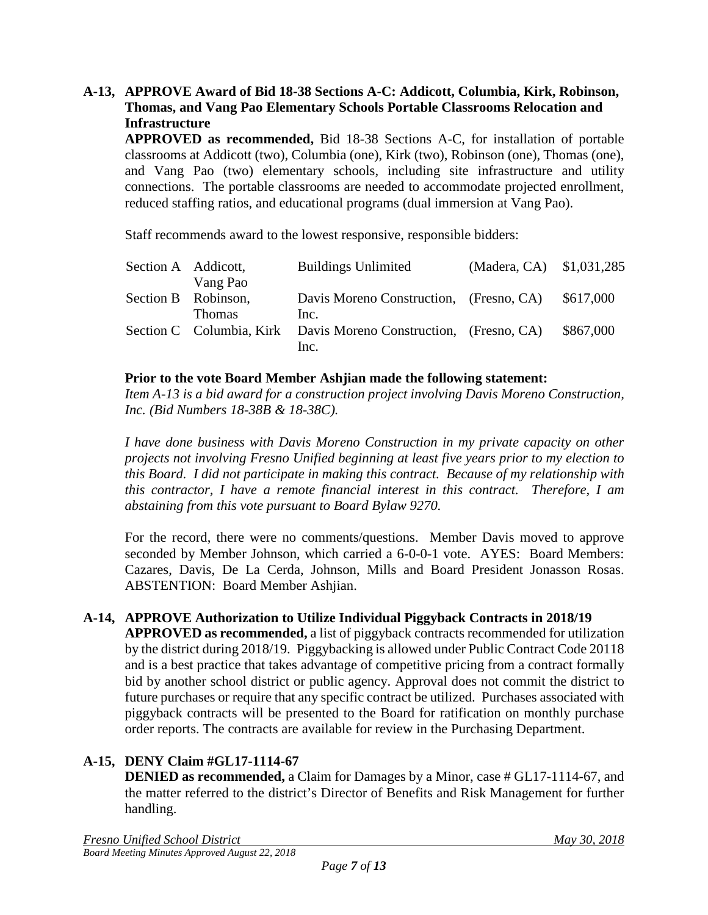### **A-13, APPROVE Award of Bid 18-38 Sections A-C: Addicott, Columbia, Kirk, Robinson, Thomas, and Vang Pao Elementary Schools Portable Classrooms Relocation and Infrastructure**

**APPROVED as recommended,** Bid 18-38 Sections A-C, for installation of portable classrooms at Addicott (two), Columbia (one), Kirk (two), Robinson (one), Thomas (one), and Vang Pao (two) elementary schools, including site infrastructure and utility connections. The portable classrooms are needed to accommodate projected enrollment, reduced staffing ratios, and educational programs (dual immersion at Vang Pao).

Staff recommends award to the lowest responsive, responsible bidders:

| Section A Addicott, |               | <b>Buildings Unlimited</b>                                       | (Madera, CA) \$1,031,285 |           |
|---------------------|---------------|------------------------------------------------------------------|--------------------------|-----------|
|                     | Vang Pao      |                                                                  |                          |           |
| Section B Robinson, |               | Davis Moreno Construction, (Fresno, CA)                          |                          | \$617,000 |
|                     | <b>Thomas</b> | Inc.                                                             |                          |           |
|                     |               | Section C Columbia, Kirk Davis Moreno Construction, (Fresno, CA) |                          | \$867,000 |
|                     |               | Inc.                                                             |                          |           |

### **Prior to the vote Board Member Ashjian made the following statement:**

*Item A-13 is a bid award for a construction project involving Davis Moreno Construction, Inc. (Bid Numbers 18-38B & 18-38C).*

*I have done business with Davis Moreno Construction in my private capacity on other projects not involving Fresno Unified beginning at least five years prior to my election to this Board. I did not participate in making this contract. Because of my relationship with this contractor, I have a remote financial interest in this contract. Therefore, I am abstaining from this vote pursuant to Board Bylaw 9270.*

For the record, there were no comments/questions. Member Davis moved to approve seconded by Member Johnson, which carried a 6-0-0-1 vote. AYES: Board Members: Cazares, Davis, De La Cerda, Johnson, Mills and Board President Jonasson Rosas. ABSTENTION: Board Member Ashjian.

## **A-14, APPROVE Authorization to Utilize Individual Piggyback Contracts in 2018/19**

**APPROVED as recommended,** a list of piggyback contracts recommended for utilization by the district during 2018/19. Piggybacking is allowed under Public Contract Code 20118 and is a best practice that takes advantage of competitive pricing from a contract formally bid by another school district or public agency. Approval does not commit the district to future purchases or require that any specific contract be utilized. Purchases associated with piggyback contracts will be presented to the Board for ratification on monthly purchase order reports. The contracts are available for review in the Purchasing Department.

## **A-15, DENY Claim #GL17-1114-67**

**DENIED as recommended,** a Claim for Damages by a Minor, case # GL17-1114-67, and the matter referred to the district's Director of Benefits and Risk Management for further handling.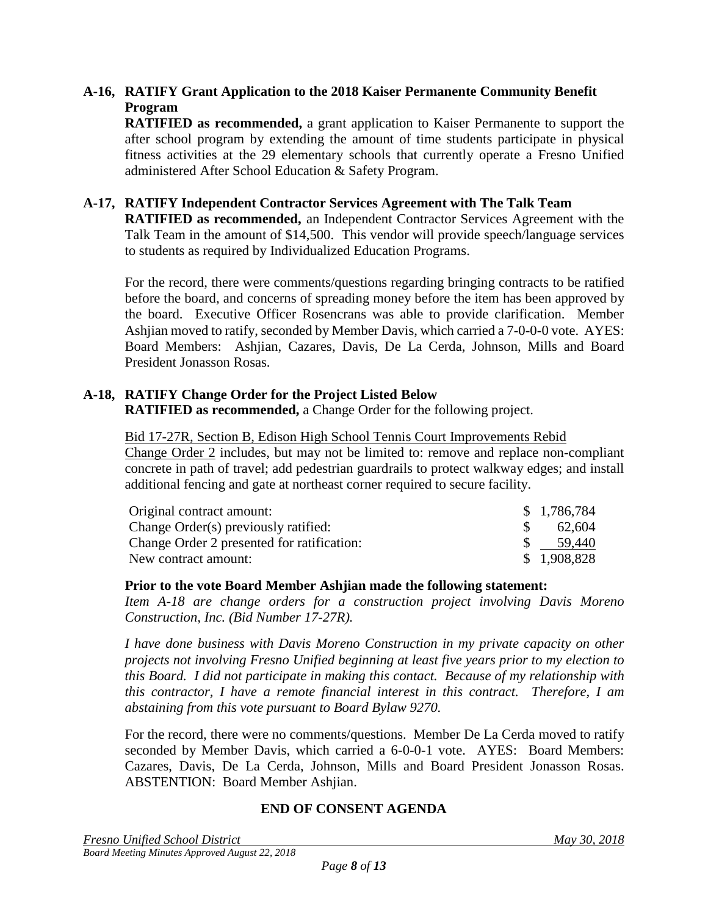## **A-16, RATIFY Grant Application to the 2018 Kaiser Permanente Community Benefit Program**

**RATIFIED as recommended,** a grant application to Kaiser Permanente to support the after school program by extending the amount of time students participate in physical fitness activities at the 29 elementary schools that currently operate a Fresno Unified administered After School Education & Safety Program.

## **A-17, RATIFY Independent Contractor Services Agreement with The Talk Team**

**RATIFIED as recommended,** an Independent Contractor Services Agreement with the Talk Team in the amount of \$14,500. This vendor will provide speech/language services to students as required by Individualized Education Programs.

For the record, there were comments/questions regarding bringing contracts to be ratified before the board, and concerns of spreading money before the item has been approved by the board. Executive Officer Rosencrans was able to provide clarification. Member Ashjian moved to ratify, seconded by Member Davis, which carried a 7-0-0-0 vote. AYES: Board Members: Ashjian, Cazares, Davis, De La Cerda, Johnson, Mills and Board President Jonasson Rosas.

# **A-18, RATIFY Change Order for the Project Listed Below**

**RATIFIED as recommended,** a Change Order for the following project.

### Bid 17-27R, Section B, Edison High School Tennis Court Improvements Rebid

Change Order 2 includes, but may not be limited to: remove and replace non-compliant concrete in path of travel; add pedestrian guardrails to protect walkway edges; and install additional fencing and gate at northeast corner required to secure facility.

| Original contract amount:                  | \$1,786,784 |
|--------------------------------------------|-------------|
| Change Order(s) previously ratified:       | 62.604      |
| Change Order 2 presented for ratification: | 59.440      |
| New contract amount:                       | \$1,908,828 |

### **Prior to the vote Board Member Ashjian made the following statement:**

*Item A-18 are change orders for a construction project involving Davis Moreno Construction, Inc. (Bid Number 17-27R).*

*I have done business with Davis Moreno Construction in my private capacity on other projects not involving Fresno Unified beginning at least five years prior to my election to this Board. I did not participate in making this contact. Because of my relationship with this contractor, I have a remote financial interest in this contract. Therefore, I am abstaining from this vote pursuant to Board Bylaw 9270.*

For the record, there were no comments/questions. Member De La Cerda moved to ratify seconded by Member Davis, which carried a 6-0-0-1 vote. AYES: Board Members: Cazares, Davis, De La Cerda, Johnson, Mills and Board President Jonasson Rosas. ABSTENTION: Board Member Ashjian.

### **END OF CONSENT AGENDA**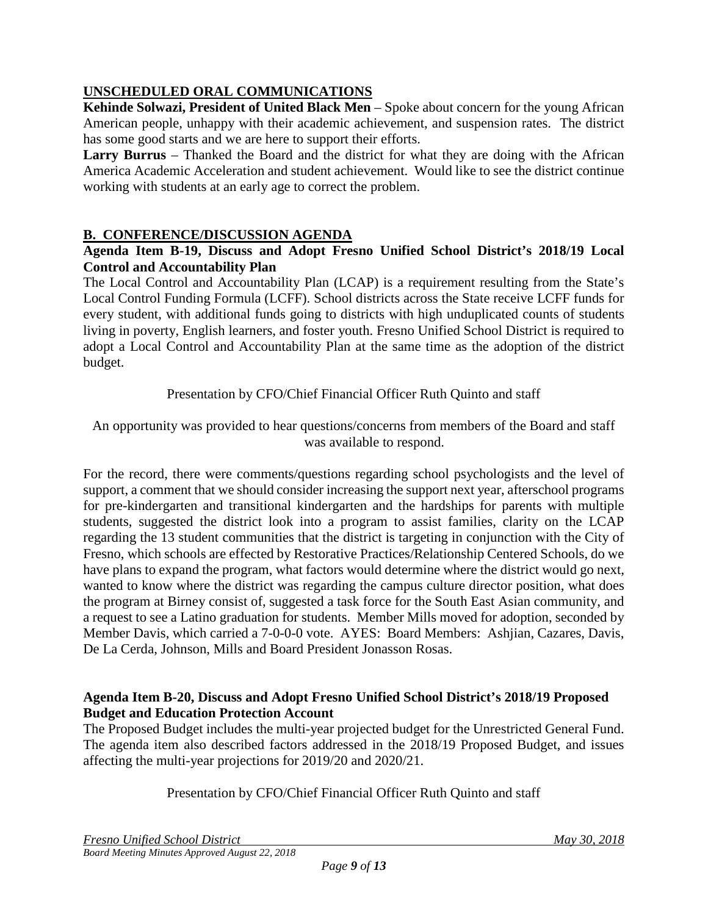# **UNSCHEDULED ORAL COMMUNICATIONS**

**Kehinde Solwazi, President of United Black Men** – Spoke about concern for the young African American people, unhappy with their academic achievement, and suspension rates. The district has some good starts and we are here to support their efforts.

**Larry Burrus** – Thanked the Board and the district for what they are doing with the African America Academic Acceleration and student achievement. Would like to see the district continue working with students at an early age to correct the problem.

## **B. CONFERENCE/DISCUSSION AGENDA**

### **Agenda Item B-19, Discuss and Adopt Fresno Unified School District's 2018/19 Local Control and Accountability Plan**

The Local Control and Accountability Plan (LCAP) is a requirement resulting from the State's Local Control Funding Formula (LCFF). School districts across the State receive LCFF funds for every student, with additional funds going to districts with high unduplicated counts of students living in poverty, English learners, and foster youth. Fresno Unified School District is required to adopt a Local Control and Accountability Plan at the same time as the adoption of the district budget.

Presentation by CFO/Chief Financial Officer Ruth Quinto and staff

An opportunity was provided to hear questions/concerns from members of the Board and staff was available to respond.

For the record, there were comments/questions regarding school psychologists and the level of support, a comment that we should consider increasing the support next year, afterschool programs for pre-kindergarten and transitional kindergarten and the hardships for parents with multiple students, suggested the district look into a program to assist families, clarity on the LCAP regarding the 13 student communities that the district is targeting in conjunction with the City of Fresno, which schools are effected by Restorative Practices/Relationship Centered Schools, do we have plans to expand the program, what factors would determine where the district would go next, wanted to know where the district was regarding the campus culture director position, what does the program at Birney consist of, suggested a task force for the South East Asian community, and a request to see a Latino graduation for students. Member Mills moved for adoption, seconded by Member Davis, which carried a 7-0-0-0 vote. AYES: Board Members: Ashjian, Cazares, Davis, De La Cerda, Johnson, Mills and Board President Jonasson Rosas.

### **Agenda Item B-20, Discuss and Adopt Fresno Unified School District's 2018/19 Proposed Budget and Education Protection Account**

The Proposed Budget includes the multi-year projected budget for the Unrestricted General Fund. The agenda item also described factors addressed in the 2018/19 Proposed Budget, and issues affecting the multi-year projections for 2019/20 and 2020/21.

Presentation by CFO/Chief Financial Officer Ruth Quinto and staff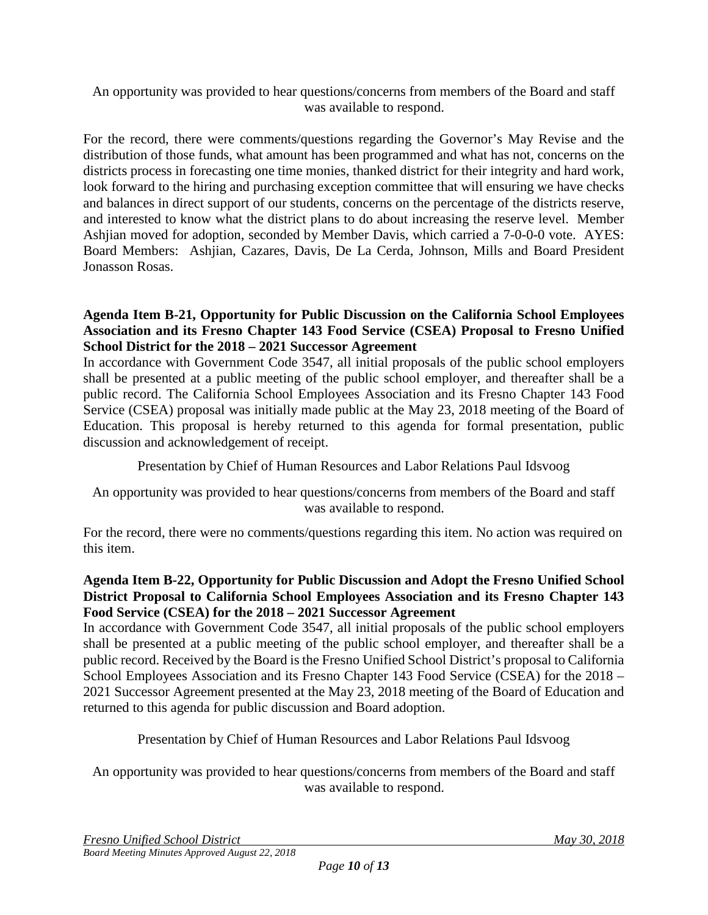### An opportunity was provided to hear questions/concerns from members of the Board and staff was available to respond.

For the record, there were comments/questions regarding the Governor's May Revise and the distribution of those funds, what amount has been programmed and what has not, concerns on the districts process in forecasting one time monies, thanked district for their integrity and hard work, look forward to the hiring and purchasing exception committee that will ensuring we have checks and balances in direct support of our students, concerns on the percentage of the districts reserve, and interested to know what the district plans to do about increasing the reserve level. Member Ashjian moved for adoption, seconded by Member Davis, which carried a 7-0-0-0 vote. AYES: Board Members: Ashjian, Cazares, Davis, De La Cerda, Johnson, Mills and Board President Jonasson Rosas.

### **Agenda Item B-21, Opportunity for Public Discussion on the California School Employees Association and its Fresno Chapter 143 Food Service (CSEA) Proposal to Fresno Unified School District for the 2018 – 2021 Successor Agreement**

In accordance with Government Code 3547, all initial proposals of the public school employers shall be presented at a public meeting of the public school employer, and thereafter shall be a public record. The California School Employees Association and its Fresno Chapter 143 Food Service (CSEA) proposal was initially made public at the May 23, 2018 meeting of the Board of Education. This proposal is hereby returned to this agenda for formal presentation, public discussion and acknowledgement of receipt.

Presentation by Chief of Human Resources and Labor Relations Paul Idsvoog

An opportunity was provided to hear questions/concerns from members of the Board and staff was available to respond.

For the record, there were no comments/questions regarding this item. No action was required on this item.

## **Agenda Item B-22, Opportunity for Public Discussion and Adopt the Fresno Unified School District Proposal to California School Employees Association and its Fresno Chapter 143 Food Service (CSEA) for the 2018 – 2021 Successor Agreement**

In accordance with Government Code 3547, all initial proposals of the public school employers shall be presented at a public meeting of the public school employer, and thereafter shall be a public record. Received by the Board is the Fresno Unified School District's proposal to California School Employees Association and its Fresno Chapter 143 Food Service (CSEA) for the 2018 – 2021 Successor Agreement presented at the May 23, 2018 meeting of the Board of Education and returned to this agenda for public discussion and Board adoption.

Presentation by Chief of Human Resources and Labor Relations Paul Idsvoog

An opportunity was provided to hear questions/concerns from members of the Board and staff was available to respond.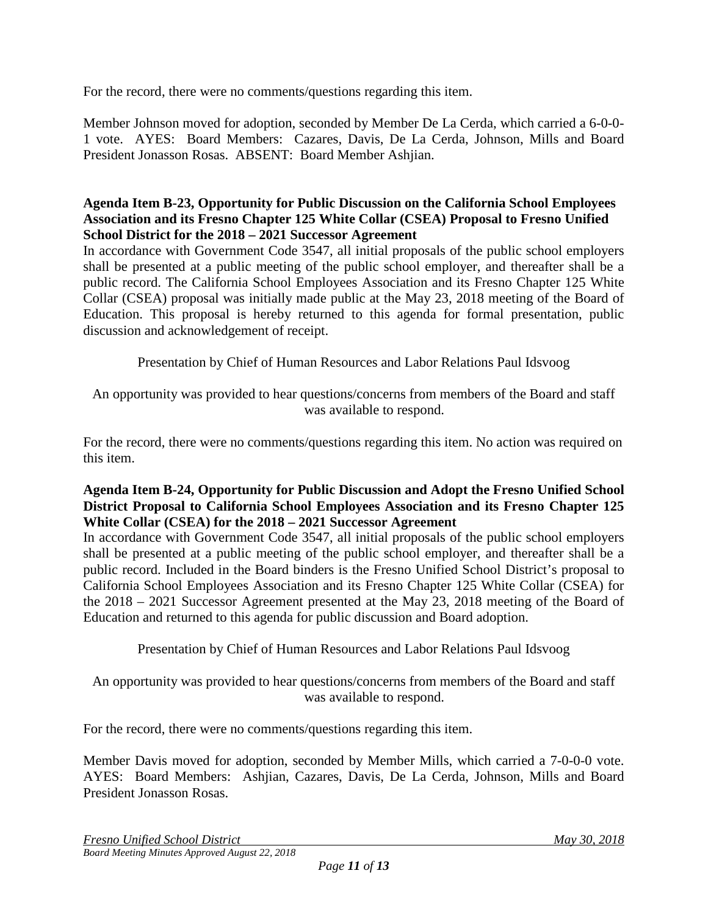For the record, there were no comments/questions regarding this item.

Member Johnson moved for adoption, seconded by Member De La Cerda, which carried a 6-0-0- 1 vote. AYES: Board Members: Cazares, Davis, De La Cerda, Johnson, Mills and Board President Jonasson Rosas. ABSENT: Board Member Ashjian.

#### **Agenda Item B-23, Opportunity for Public Discussion on the California School Employees Association and its Fresno Chapter 125 White Collar (CSEA) Proposal to Fresno Unified School District for the 2018 – 2021 Successor Agreement**

In accordance with Government Code 3547, all initial proposals of the public school employers shall be presented at a public meeting of the public school employer, and thereafter shall be a public record. The California School Employees Association and its Fresno Chapter 125 White Collar (CSEA) proposal was initially made public at the May 23, 2018 meeting of the Board of Education. This proposal is hereby returned to this agenda for formal presentation, public discussion and acknowledgement of receipt.

Presentation by Chief of Human Resources and Labor Relations Paul Idsvoog

An opportunity was provided to hear questions/concerns from members of the Board and staff was available to respond.

For the record, there were no comments/questions regarding this item. No action was required on this item.

### **Agenda Item B-24, Opportunity for Public Discussion and Adopt the Fresno Unified School District Proposal to California School Employees Association and its Fresno Chapter 125 White Collar (CSEA) for the 2018 – 2021 Successor Agreement**

In accordance with Government Code 3547, all initial proposals of the public school employers shall be presented at a public meeting of the public school employer, and thereafter shall be a public record. Included in the Board binders is the Fresno Unified School District's proposal to California School Employees Association and its Fresno Chapter 125 White Collar (CSEA) for the 2018 – 2021 Successor Agreement presented at the May 23, 2018 meeting of the Board of Education and returned to this agenda for public discussion and Board adoption.

Presentation by Chief of Human Resources and Labor Relations Paul Idsvoog

An opportunity was provided to hear questions/concerns from members of the Board and staff was available to respond.

For the record, there were no comments/questions regarding this item.

Member Davis moved for adoption, seconded by Member Mills, which carried a 7-0-0-0 vote. AYES: Board Members: Ashjian, Cazares, Davis, De La Cerda, Johnson, Mills and Board President Jonasson Rosas.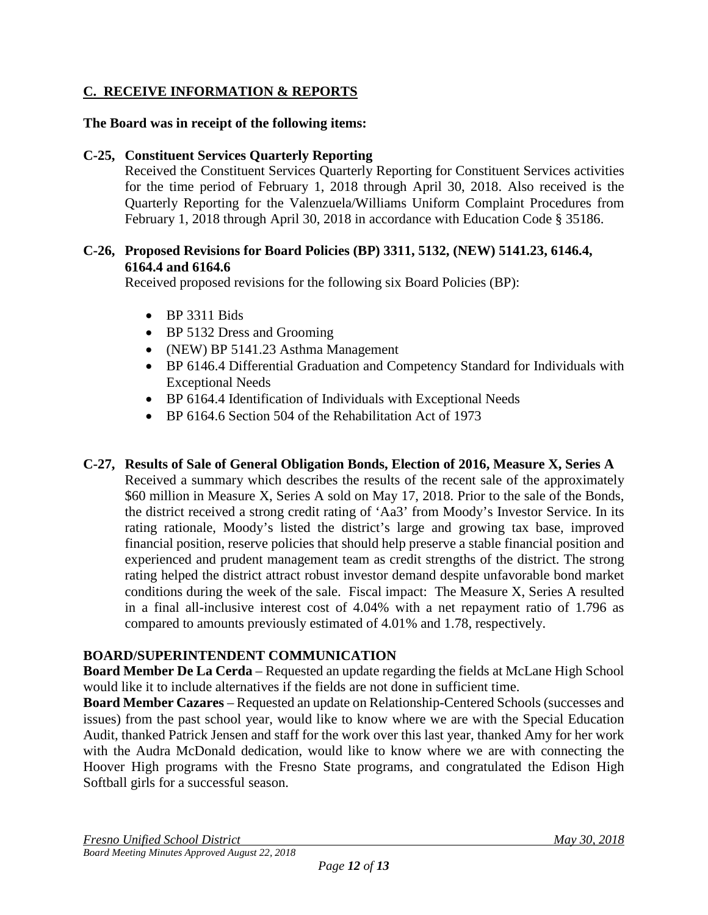## **C. RECEIVE INFORMATION & REPORTS**

#### **The Board was in receipt of the following items:**

#### **C-25, Constituent Services Quarterly Reporting**

Received the Constituent Services Quarterly Reporting for Constituent Services activities for the time period of February 1, 2018 through April 30, 2018. Also received is the Quarterly Reporting for the Valenzuela/Williams Uniform Complaint Procedures from February 1, 2018 through April 30, 2018 in accordance with Education Code § 35186.

#### **C-26, Proposed Revisions for Board Policies (BP) 3311, 5132, (NEW) 5141.23, 6146.4, 6164.4 and 6164.6**

Received proposed revisions for the following six Board Policies (BP):

- BP 3311 Bids
- BP 5132 Dress and Grooming
- (NEW) BP 5141.23 Asthma Management
- BP 6146.4 Differential Graduation and Competency Standard for Individuals with Exceptional Needs
- BP 6164.4 Identification of Individuals with Exceptional Needs
- BP 6164.6 Section 504 of the Rehabilitation Act of 1973

#### **C-27, Results of Sale of General Obligation Bonds, Election of 2016, Measure X, Series A**

Received a summary which describes the results of the recent sale of the approximately \$60 million in Measure X, Series A sold on May 17, 2018. Prior to the sale of the Bonds, the district received a strong credit rating of 'Aa3' from Moody's Investor Service. In its rating rationale, Moody's listed the district's large and growing tax base, improved financial position, reserve policies that should help preserve a stable financial position and experienced and prudent management team as credit strengths of the district. The strong rating helped the district attract robust investor demand despite unfavorable bond market conditions during the week of the sale. Fiscal impact: The Measure X, Series A resulted in a final all-inclusive interest cost of 4.04% with a net repayment ratio of 1.796 as compared to amounts previously estimated of 4.01% and 1.78, respectively.

### **BOARD/SUPERINTENDENT COMMUNICATION**

**Board Member De La Cerda** – Requested an update regarding the fields at McLane High School would like it to include alternatives if the fields are not done in sufficient time.

**Board Member Cazares** – Requested an update on Relationship-Centered Schools (successes and issues) from the past school year, would like to know where we are with the Special Education Audit, thanked Patrick Jensen and staff for the work over this last year, thanked Amy for her work with the Audra McDonald dedication, would like to know where we are with connecting the Hoover High programs with the Fresno State programs, and congratulated the Edison High Softball girls for a successful season.